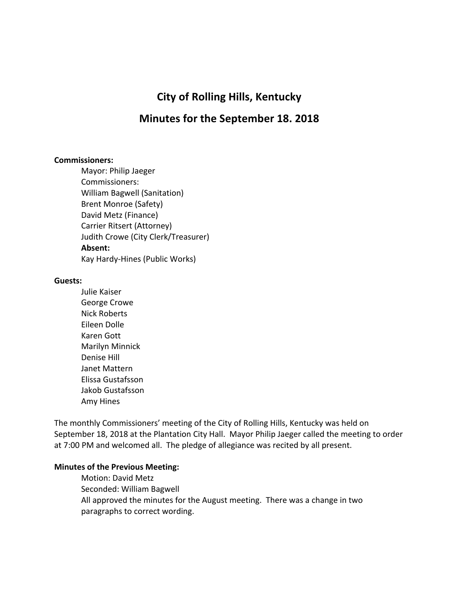# **City of Rolling Hills, Kentucky**

# **Minutes for the September 18. 2018**

#### **Commissioners:**

Mayor: Philip Jaeger Commissioners: William Bagwell (Sanitation) Brent Monroe (Safety) David Metz (Finance) Carrier Ritsert (Attorney) Judith Crowe (City Clerk/Treasurer) **Absent:** Kay Hardy-Hines (Public Works)

#### **Guests:**

Julie Kaiser George Crowe Nick Roberts Eileen Dolle Karen Gott Marilyn Minnick Denise Hill Janet Mattern Elissa Gustafsson Jakob Gustafsson Amy Hines

The monthly Commissioners' meeting of the City of Rolling Hills, Kentucky was held on September 18, 2018 at the Plantation City Hall. Mayor Philip Jaeger called the meeting to order at 7:00 PM and welcomed all. The pledge of allegiance was recited by all present.

#### **Minutes of the Previous Meeting:**

Motion: David Metz Seconded: William Bagwell All approved the minutes for the August meeting. There was a change in two paragraphs to correct wording.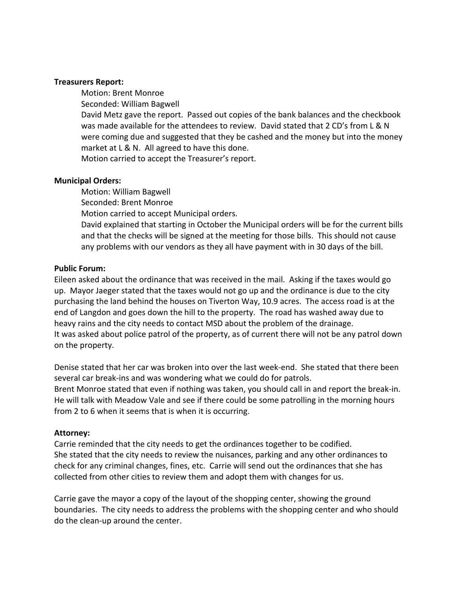#### **Treasurers Report:**

Motion: Brent Monroe Seconded: William Bagwell David Metz gave the report. Passed out copies of the bank balances and the checkbook was made available for the attendees to review. David stated that 2 CD's from L & N were coming due and suggested that they be cashed and the money but into the money market at  $L & N$ . All agreed to have this done.

Motion carried to accept the Treasurer's report.

### **Municipal Orders:**

Motion: William Bagwell Seconded: Brent Monroe Motion carried to accept Municipal orders. David explained that starting in October the Municipal orders will be for the current bills and that the checks will be signed at the meeting for those bills. This should not cause any problems with our vendors as they all have payment with in 30 days of the bill.

#### **Public Forum:**

Eileen asked about the ordinance that was received in the mail. Asking if the taxes would go up. Mayor Jaeger stated that the taxes would not go up and the ordinance is due to the city purchasing the land behind the houses on Tiverton Way, 10.9 acres. The access road is at the end of Langdon and goes down the hill to the property. The road has washed away due to heavy rains and the city needs to contact MSD about the problem of the drainage. It was asked about police patrol of the property, as of current there will not be any patrol down on the property.

Denise stated that her car was broken into over the last week-end. She stated that there been several car break-ins and was wondering what we could do for patrols. Brent Monroe stated that even if nothing was taken, you should call in and report the break-in. He will talk with Meadow Vale and see if there could be some patrolling in the morning hours from 2 to 6 when it seems that is when it is occurring.

### **Attorney:**

Carrie reminded that the city needs to get the ordinances together to be codified. She stated that the city needs to review the nuisances, parking and any other ordinances to check for any criminal changes, fines, etc. Carrie will send out the ordinances that she has collected from other cities to review them and adopt them with changes for us.

Carrie gave the mayor a copy of the layout of the shopping center, showing the ground boundaries. The city needs to address the problems with the shopping center and who should do the clean-up around the center.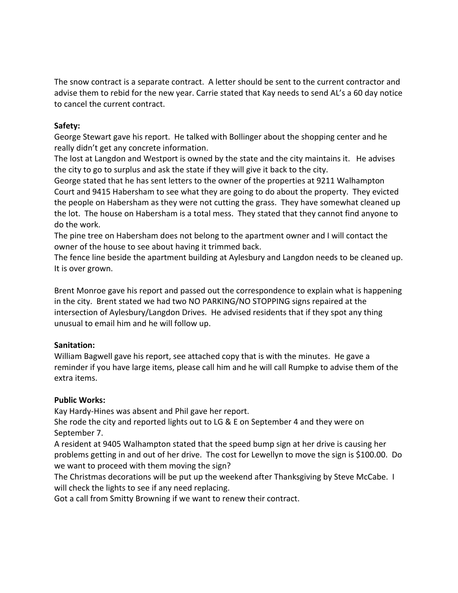The snow contract is a separate contract. A letter should be sent to the current contractor and advise them to rebid for the new year. Carrie stated that Kay needs to send AL's a 60 day notice to cancel the current contract.

## **Safety:**

George Stewart gave his report. He talked with Bollinger about the shopping center and he really didn't get any concrete information.

The lost at Langdon and Westport is owned by the state and the city maintains it. He advises the city to go to surplus and ask the state if they will give it back to the city.

George stated that he has sent letters to the owner of the properties at 9211 Walhampton Court and 9415 Habersham to see what they are going to do about the property. They evicted the people on Habersham as they were not cutting the grass. They have somewhat cleaned up the lot. The house on Habersham is a total mess. They stated that they cannot find anyone to do the work.

The pine tree on Habersham does not belong to the apartment owner and I will contact the owner of the house to see about having it trimmed back.

The fence line beside the apartment building at Aylesbury and Langdon needs to be cleaned up. It is over grown.

Brent Monroe gave his report and passed out the correspondence to explain what is happening in the city. Brent stated we had two NO PARKING/NO STOPPING signs repaired at the intersection of Aylesbury/Langdon Drives. He advised residents that if they spot any thing unusual to email him and he will follow up.

## **Sanitation:**

William Bagwell gave his report, see attached copy that is with the minutes. He gave a reminder if you have large items, please call him and he will call Rumpke to advise them of the extra items.

## **Public Works:**

Kay Hardy-Hines was absent and Phil gave her report.

She rode the city and reported lights out to LG & E on September 4 and they were on September 7.

A resident at 9405 Walhampton stated that the speed bump sign at her drive is causing her problems getting in and out of her drive. The cost for Lewellyn to move the sign is \$100.00. Do we want to proceed with them moving the sign?

The Christmas decorations will be put up the weekend after Thanksgiving by Steve McCabe. I will check the lights to see if any need replacing.

Got a call from Smitty Browning if we want to renew their contract.